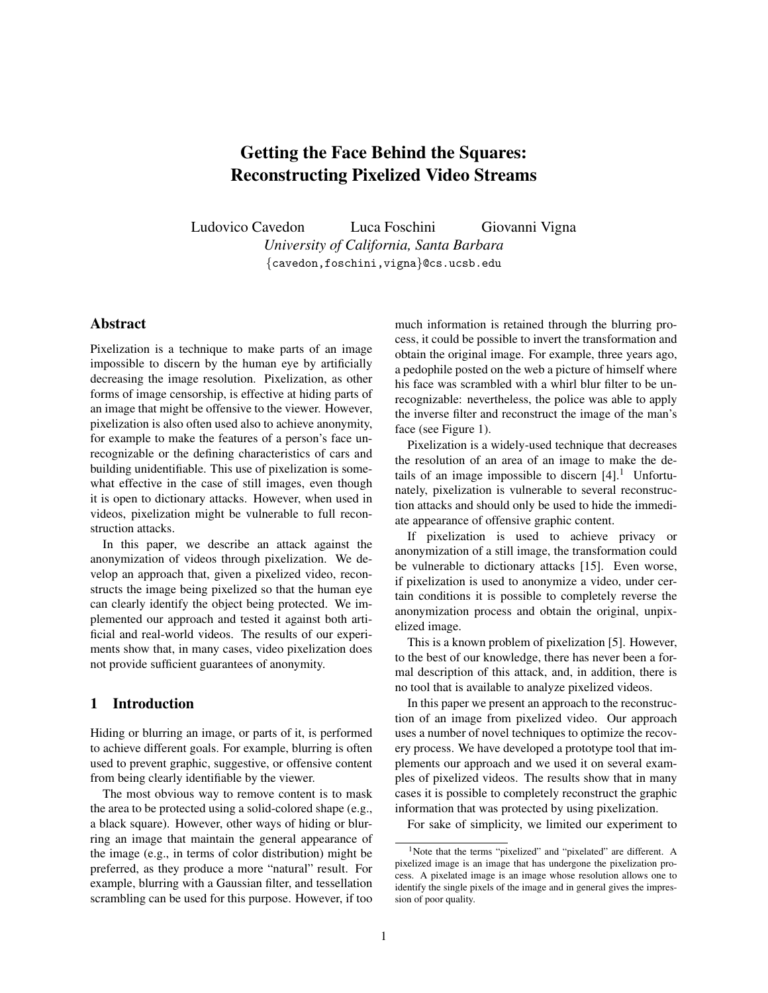# Getting the Face Behind the Squares: Reconstructing Pixelized Video Streams

Ludovico Cavedon Luca Foschini Giovanni Vigna *University of California, Santa Barbara* {cavedon,foschini,vigna}@cs.ucsb.edu

# Abstract

Pixelization is a technique to make parts of an image impossible to discern by the human eye by artificially decreasing the image resolution. Pixelization, as other forms of image censorship, is effective at hiding parts of an image that might be offensive to the viewer. However, pixelization is also often used also to achieve anonymity, for example to make the features of a person's face unrecognizable or the defining characteristics of cars and building unidentifiable. This use of pixelization is somewhat effective in the case of still images, even though it is open to dictionary attacks. However, when used in videos, pixelization might be vulnerable to full reconstruction attacks.

In this paper, we describe an attack against the anonymization of videos through pixelization. We develop an approach that, given a pixelized video, reconstructs the image being pixelized so that the human eye can clearly identify the object being protected. We implemented our approach and tested it against both artificial and real-world videos. The results of our experiments show that, in many cases, video pixelization does not provide sufficient guarantees of anonymity.

# 1 Introduction

Hiding or blurring an image, or parts of it, is performed to achieve different goals. For example, blurring is often used to prevent graphic, suggestive, or offensive content from being clearly identifiable by the viewer.

The most obvious way to remove content is to mask the area to be protected using a solid-colored shape (e.g., a black square). However, other ways of hiding or blurring an image that maintain the general appearance of the image (e.g., in terms of color distribution) might be preferred, as they produce a more "natural" result. For example, blurring with a Gaussian filter, and tessellation scrambling can be used for this purpose. However, if too much information is retained through the blurring process, it could be possible to invert the transformation and obtain the original image. For example, three years ago, a pedophile posted on the web a picture of himself where his face was scrambled with a whirl blur filter to be unrecognizable: nevertheless, the police was able to apply the inverse filter and reconstruct the image of the man's face (see Figure [1\)](#page-1-0).

Pixelization is a widely-used technique that decreases the resolution of an area of an image to make the details of an image impossible to discern  $[4]$ .<sup>[1](#page-0-0)</sup> Unfortunately, pixelization is vulnerable to several reconstruction attacks and should only be used to hide the immediate appearance of offensive graphic content.

If pixelization is used to achieve privacy or anonymization of a still image, the transformation could be vulnerable to dictionary attacks [\[15\]](#page-8-1). Even worse, if pixelization is used to anonymize a video, under certain conditions it is possible to completely reverse the anonymization process and obtain the original, unpixelized image.

This is a known problem of pixelization [\[5\]](#page-8-2). However, to the best of our knowledge, there has never been a formal description of this attack, and, in addition, there is no tool that is available to analyze pixelized videos.

In this paper we present an approach to the reconstruction of an image from pixelized video. Our approach uses a number of novel techniques to optimize the recovery process. We have developed a prototype tool that implements our approach and we used it on several examples of pixelized videos. The results show that in many cases it is possible to completely reconstruct the graphic information that was protected by using pixelization.

For sake of simplicity, we limited our experiment to

<span id="page-0-0"></span><sup>&</sup>lt;sup>1</sup>Note that the terms "pixelized" and "pixelated" are different. A pixelized image is an image that has undergone the pixelization process. A pixelated image is an image whose resolution allows one to identify the single pixels of the image and in general gives the impression of poor quality.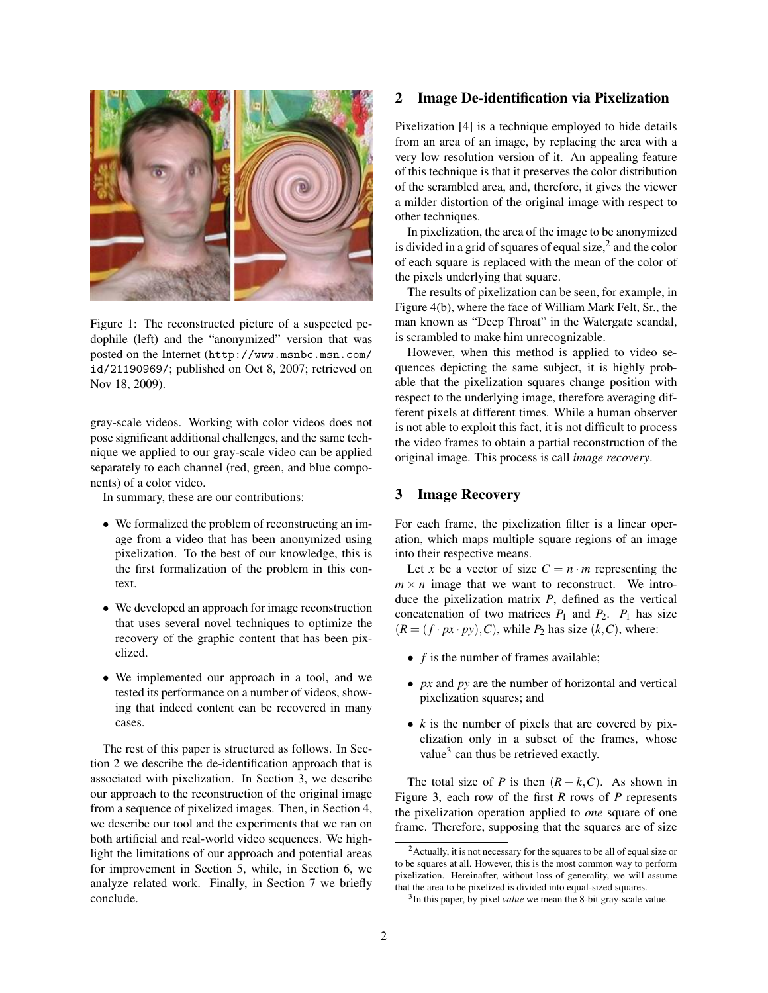

Figure 1: The reconstructed picture of a suspected pedophile (left) and the "anonymized" version that was posted on the Internet ([http://www.msnbc.msn.com/](http://www.msnbc.msn.com/id/21190969/) [id/21190969/](http://www.msnbc.msn.com/id/21190969/); published on Oct 8, 2007; retrieved on Nov 18, 2009).

<span id="page-1-0"></span>gray-scale videos. Working with color videos does not pose significant additional challenges, and the same technique we applied to our gray-scale video can be applied separately to each channel (red, green, and blue components) of a color video.

In summary, these are our contributions:

- We formalized the problem of reconstructing an image from a video that has been anonymized using pixelization. To the best of our knowledge, this is the first formalization of the problem in this context.
- We developed an approach for image reconstruction that uses several novel techniques to optimize the recovery of the graphic content that has been pixelized.
- We implemented our approach in a tool, and we tested its performance on a number of videos, showing that indeed content can be recovered in many cases.

The rest of this paper is structured as follows. In Section [2](#page-1-1) we describe the de-identification approach that is associated with pixelization. In Section [3,](#page-1-2) we describe our approach to the reconstruction of the original image from a sequence of pixelized images. Then, in Section [4,](#page-4-0) we describe our tool and the experiments that we ran on both artificial and real-world video sequences. We highlight the limitations of our approach and potential areas for improvement in Section [5,](#page-5-0) while, in Section [6,](#page-6-0) we analyze related work. Finally, in Section [7](#page-7-0) we briefly conclude.

### <span id="page-1-1"></span>2 Image De-identification via Pixelization

Pixelization [\[4\]](#page-8-0) is a technique employed to hide details from an area of an image, by replacing the area with a very low resolution version of it. An appealing feature of this technique is that it preserves the color distribution of the scrambled area, and, therefore, it gives the viewer a milder distortion of the original image with respect to other techniques.

In pixelization, the area of the image to be anonymized is divided in a grid of squares of equal size, $^2$  $^2$  and the color of each square is replaced with the mean of the color of the pixels underlying that square.

The results of pixelization can be seen, for example, in Figure [4\(b\),](#page-6-1) where the face of William Mark Felt, Sr., the man known as "Deep Throat" in the Watergate scandal, is scrambled to make him unrecognizable.

However, when this method is applied to video sequences depicting the same subject, it is highly probable that the pixelization squares change position with respect to the underlying image, therefore averaging different pixels at different times. While a human observer is not able to exploit this fact, it is not difficult to process the video frames to obtain a partial reconstruction of the original image. This process is call *image recovery*.

## <span id="page-1-2"></span>3 Image Recovery

For each frame, the pixelization filter is a linear operation, which maps multiple square regions of an image into their respective means.

Let *x* be a vector of size  $C = n \cdot m$  representing the  $m \times n$  image that we want to reconstruct. We introduce the pixelization matrix *P*, defined as the vertical concatenation of two matrices  $P_1$  and  $P_2$ .  $P_1$  has size  $(R = (f \cdot px \cdot py), C)$ , while  $P_2$  has size  $(k, C)$ , where:

- *f* is the number of frames available;
- *px* and *py* are the number of horizontal and vertical pixelization squares; and
- *k* is the number of pixels that are covered by pixelization only in a subset of the frames, whose value $<sup>3</sup>$  $<sup>3</sup>$  $<sup>3</sup>$  can thus be retrieved exactly.</sup>

The total size of *P* is then  $(R + k, C)$ . As shown in Figure [3,](#page-2-0) each row of the first *R* rows of *P* represents the pixelization operation applied to *one* square of one frame. Therefore, supposing that the squares are of size

<span id="page-1-3"></span><sup>&</sup>lt;sup>2</sup> Actually, it is not necessary for the squares to be all of equal size or to be squares at all. However, this is the most common way to perform pixelization. Hereinafter, without loss of generality, we will assume that the area to be pixelized is divided into equal-sized squares.

<span id="page-1-4"></span><sup>3</sup> In this paper, by pixel *value* we mean the 8-bit gray-scale value.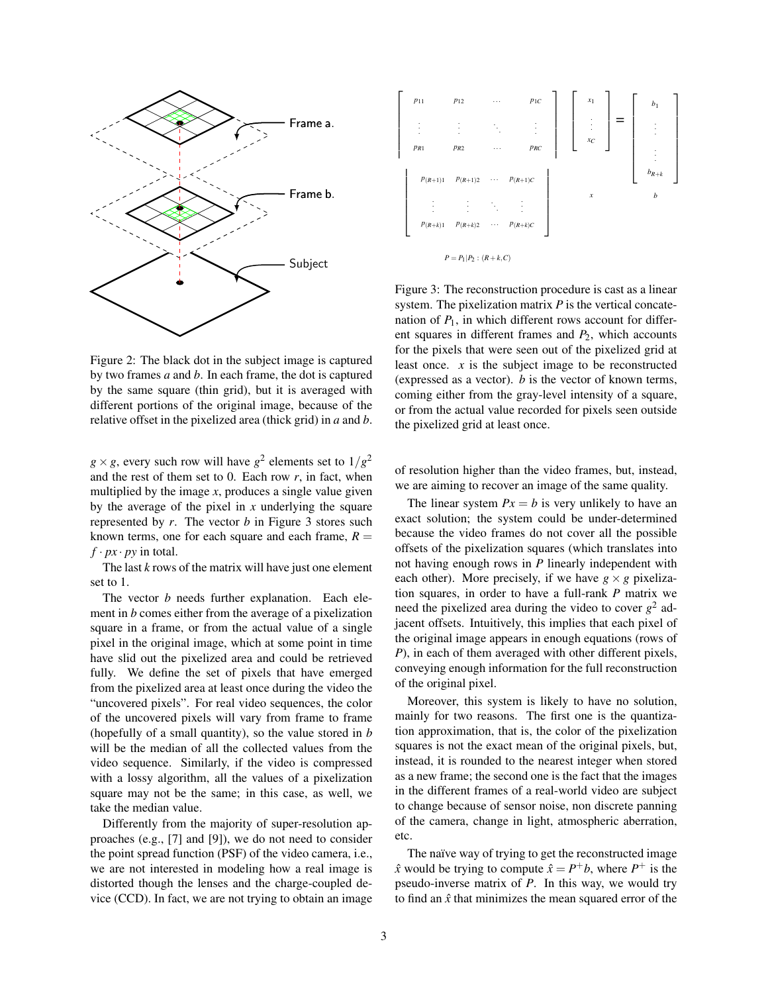

Figure 2: The black dot in the subject image is captured by two frames *a* and *b*. In each frame, the dot is captured by the same square (thin grid), but it is averaged with different portions of the original image, because of the relative offset in the pixelized area (thick grid) in *a* and *b*.

 $g \times g$ , every such row will have  $g^2$  elements set to  $1/g^2$ and the rest of them set to 0. Each row  $r$ , in fact, when multiplied by the image  $x$ , produces a single value given by the average of the pixel in *x* underlying the square represented by *r*. The vector *b* in Figure [3](#page-2-0) stores such known terms, one for each square and each frame,  $R =$  $f \cdot px \cdot py$  in total.

The last *k* rows of the matrix will have just one element set to 1.

The vector *b* needs further explanation. Each element in *b* comes either from the average of a pixelization square in a frame, or from the actual value of a single pixel in the original image, which at some point in time have slid out the pixelized area and could be retrieved fully. We define the set of pixels that have emerged from the pixelized area at least once during the video the "uncovered pixels". For real video sequences, the color of the uncovered pixels will vary from frame to frame (hopefully of a small quantity), so the value stored in *b* will be the median of all the collected values from the video sequence. Similarly, if the video is compressed with a lossy algorithm, all the values of a pixelization square may not be the same; in this case, as well, we take the median value.

Differently from the majority of super-resolution approaches (e.g., [\[7\]](#page-8-3) and [\[9\]](#page-8-4)), we do not need to consider the point spread function (PSF) of the video camera, i.e., we are not interested in modeling how a real image is distorted though the lenses and the charge-coupled device (CCD). In fact, we are not trying to obtain an image



<span id="page-2-0"></span>Figure 3: The reconstruction procedure is cast as a linear system. The pixelization matrix *P* is the vertical concatenation of  $P_1$ , in which different rows account for different squares in different frames and *P*2, which accounts for the pixels that were seen out of the pixelized grid at least once. *x* is the subject image to be reconstructed (expressed as a vector). *b* is the vector of known terms, coming either from the gray-level intensity of a square, or from the actual value recorded for pixels seen outside the pixelized grid at least once.

of resolution higher than the video frames, but, instead, we are aiming to recover an image of the same quality.

The linear system  $Px = b$  is very unlikely to have an exact solution; the system could be under-determined because the video frames do not cover all the possible offsets of the pixelization squares (which translates into not having enough rows in *P* linearly independent with each other). More precisely, if we have  $g \times g$  pixelization squares, in order to have a full-rank *P* matrix we need the pixelized area during the video to cover  $g^2$  adjacent offsets. Intuitively, this implies that each pixel of the original image appears in enough equations (rows of *P*), in each of them averaged with other different pixels, conveying enough information for the full reconstruction of the original pixel.

Moreover, this system is likely to have no solution, mainly for two reasons. The first one is the quantization approximation, that is, the color of the pixelization squares is not the exact mean of the original pixels, but, instead, it is rounded to the nearest integer when stored as a new frame; the second one is the fact that the images in the different frames of a real-world video are subject to change because of sensor noise, non discrete panning of the camera, change in light, atmospheric aberration, etc.

The naïve way of trying to get the reconstructed image  $\hat{x}$  would be trying to compute  $\hat{x} = P^+b$ , where  $P^+$  is the pseudo-inverse matrix of *P*. In this way, we would try to find an  $\hat{x}$  that minimizes the mean squared error of the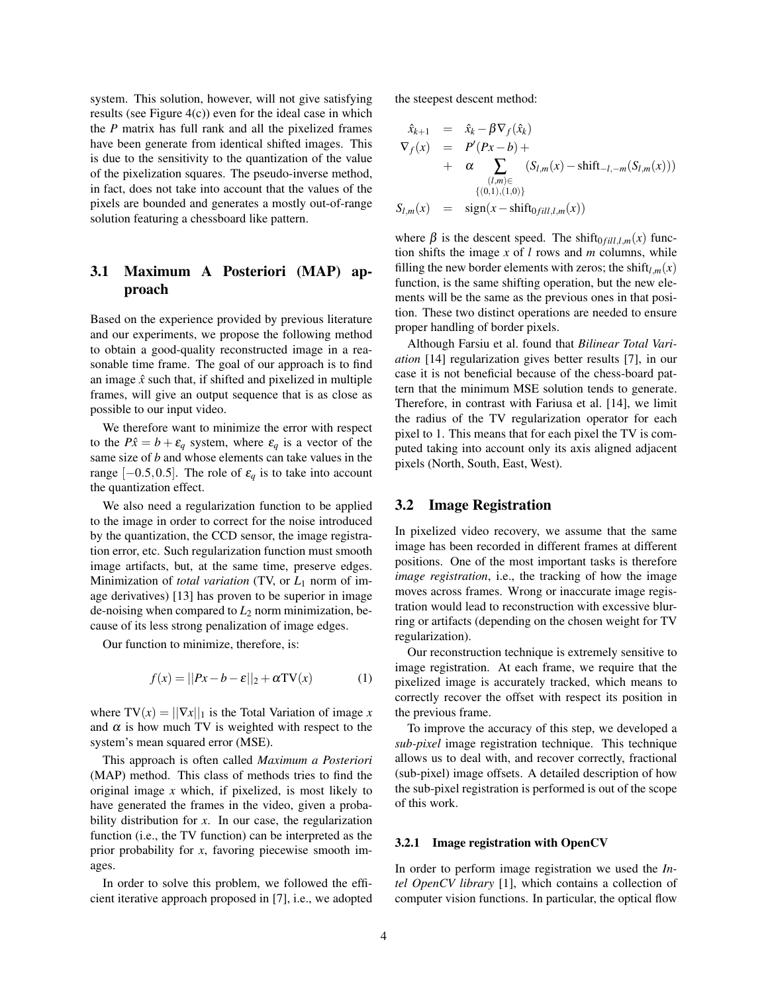system. This solution, however, will not give satisfying results (see Figure [4\(c\)\)](#page-6-2) even for the ideal case in which the *P* matrix has full rank and all the pixelized frames have been generate from identical shifted images. This is due to the sensitivity to the quantization of the value of the pixelization squares. The pseudo-inverse method, in fact, does not take into account that the values of the pixels are bounded and generates a mostly out-of-range solution featuring a chessboard like pattern.

# 3.1 Maximum A Posteriori (MAP) approach

Based on the experience provided by previous literature and our experiments, we propose the following method to obtain a good-quality reconstructed image in a reasonable time frame. The goal of our approach is to find an image  $\hat{x}$  such that, if shifted and pixelized in multiple frames, will give an output sequence that is as close as possible to our input video.

We therefore want to minimize the error with respect to the  $P\hat{x} = b + \varepsilon_q$  system, where  $\varepsilon_q$  is a vector of the same size of *b* and whose elements can take values in the range  $[-0.5, 0.5]$ . The role of  $\varepsilon_q$  is to take into account the quantization effect.

We also need a regularization function to be applied to the image in order to correct for the noise introduced by the quantization, the CCD sensor, the image registration error, etc. Such regularization function must smooth image artifacts, but, at the same time, preserve edges. Minimization of *total variation* (TV, or *L*<sup>1</sup> norm of image derivatives) [\[13\]](#page-8-5) has proven to be superior in image de-noising when compared to  $L_2$  norm minimization, because of its less strong penalization of image edges.

Our function to minimize, therefore, is:

$$
f(x) = ||Px - b - \varepsilon||_2 + \alpha \text{TV}(x)
$$
 (1)

where  $TV(x) = ||\nabla x||_1$  is the Total Variation of image *x* and  $\alpha$  is how much TV is weighted with respect to the system's mean squared error (MSE).

This approach is often called *Maximum a Posteriori* (MAP) method. This class of methods tries to find the original image *x* which, if pixelized, is most likely to have generated the frames in the video, given a probability distribution for *x*. In our case, the regularization function (i.e., the TV function) can be interpreted as the prior probability for *x*, favoring piecewise smooth images.

In order to solve this problem, we followed the efficient iterative approach proposed in [\[7\]](#page-8-3), i.e., we adopted the steepest descent method:

$$
\hat{x}_{k+1} = \hat{x}_k - \beta \nabla_f(\hat{x}_k)
$$
\n
$$
\nabla_f(x) = P'(Px - b) + \alpha \sum_{\substack{(l,m) \in \\ (l,m) \in \\ \{(0,1),(1,0)\}}} (S_{l,m}(x) - \text{shift}_{-l,-m}(S_{l,m}(x)))
$$
\n
$$
S_{l,m}(x) = \text{sign}(x - \text{shift}_{0fill,l,m}(x))
$$

where  $\beta$  is the descent speed. The shift<sub>0 *fill*,*l*,*m*</sub>(*x*) function shifts the image *x* of *l* rows and *m* columns, while filling the new border elements with zeros; the shift $l_{lm}(x)$ function, is the same shifting operation, but the new elements will be the same as the previous ones in that position. These two distinct operations are needed to ensure proper handling of border pixels.

Although Farsiu et al. found that *Bilinear Total Variation* [\[14\]](#page-8-6) regularization gives better results [\[7\]](#page-8-3), in our case it is not beneficial because of the chess-board pattern that the minimum MSE solution tends to generate. Therefore, in contrast with Fariusa et al. [\[14\]](#page-8-6), we limit the radius of the TV regularization operator for each pixel to 1. This means that for each pixel the TV is computed taking into account only its axis aligned adjacent pixels (North, South, East, West).

#### 3.2 Image Registration

In pixelized video recovery, we assume that the same image has been recorded in different frames at different positions. One of the most important tasks is therefore *image registration*, i.e., the tracking of how the image moves across frames. Wrong or inaccurate image registration would lead to reconstruction with excessive blurring or artifacts (depending on the chosen weight for TV regularization).

Our reconstruction technique is extremely sensitive to image registration. At each frame, we require that the pixelized image is accurately tracked, which means to correctly recover the offset with respect its position in the previous frame.

To improve the accuracy of this step, we developed a *sub-pixel* image registration technique. This technique allows us to deal with, and recover correctly, fractional (sub-pixel) image offsets. A detailed description of how the sub-pixel registration is performed is out of the scope of this work.

#### 3.2.1 Image registration with OpenCV

In order to perform image registration we used the *Intel OpenCV library* [\[1\]](#page-8-7), which contains a collection of computer vision functions. In particular, the optical flow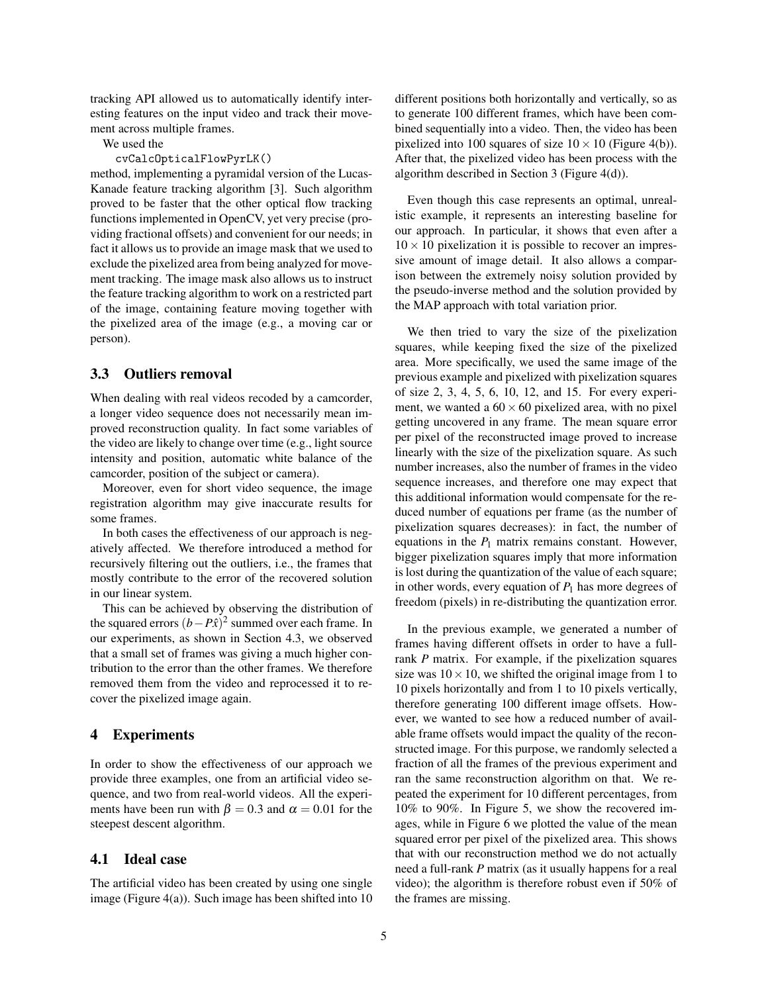tracking API allowed us to automatically identify interesting features on the input video and track their movement across multiple frames.

We used the

#### cvCalcOpticalFlowPyrLK()

method, implementing a pyramidal version of the Lucas-Kanade feature tracking algorithm [\[3\]](#page-8-8). Such algorithm proved to be faster that the other optical flow tracking functions implemented in OpenCV, yet very precise (providing fractional offsets) and convenient for our needs; in fact it allows us to provide an image mask that we used to exclude the pixelized area from being analyzed for movement tracking. The image mask also allows us to instruct the feature tracking algorithm to work on a restricted part of the image, containing feature moving together with the pixelized area of the image (e.g., a moving car or person).

#### <span id="page-4-1"></span>3.3 Outliers removal

When dealing with real videos recoded by a camcorder, a longer video sequence does not necessarily mean improved reconstruction quality. In fact some variables of the video are likely to change over time (e.g., light source intensity and position, automatic white balance of the camcorder, position of the subject or camera).

Moreover, even for short video sequence, the image registration algorithm may give inaccurate results for some frames.

In both cases the effectiveness of our approach is negatively affected. We therefore introduced a method for recursively filtering out the outliers, i.e., the frames that mostly contribute to the error of the recovered solution in our linear system.

This can be achieved by observing the distribution of the squared errors  $(b - P\hat{x})^2$  summed over each frame. In our experiments, as shown in Section [4.3,](#page-5-1) we observed that a small set of frames was giving a much higher contribution to the error than the other frames. We therefore removed them from the video and reprocessed it to recover the pixelized image again.

### <span id="page-4-0"></span>4 Experiments

In order to show the effectiveness of our approach we provide three examples, one from an artificial video sequence, and two from real-world videos. All the experiments have been run with  $\beta = 0.3$  and  $\alpha = 0.01$  for the steepest descent algorithm.

#### 4.1 Ideal case

The artificial video has been created by using one single image (Figure [4\(a\)\)](#page-6-3). Such image has been shifted into 10 different positions both horizontally and vertically, so as to generate 100 different frames, which have been combined sequentially into a video. Then, the video has been pixelized into 100 squares of size  $10 \times 10$  (Figure [4\(b\)\)](#page-6-1). After that, the pixelized video has been process with the algorithm described in Section [3](#page-1-2) (Figure [4\(d\)\)](#page-6-4).

Even though this case represents an optimal, unrealistic example, it represents an interesting baseline for our approach. In particular, it shows that even after a  $10 \times 10$  pixelization it is possible to recover an impressive amount of image detail. It also allows a comparison between the extremely noisy solution provided by the pseudo-inverse method and the solution provided by the MAP approach with total variation prior.

We then tried to vary the size of the pixelization squares, while keeping fixed the size of the pixelized area. More specifically, we used the same image of the previous example and pixelized with pixelization squares of size 2, 3, 4, 5, 6, 10, 12, and 15. For every experiment, we wanted a  $60 \times 60$  pixelized area, with no pixel getting uncovered in any frame. The mean square error per pixel of the reconstructed image proved to increase linearly with the size of the pixelization square. As such number increases, also the number of frames in the video sequence increases, and therefore one may expect that this additional information would compensate for the reduced number of equations per frame (as the number of pixelization squares decreases): in fact, the number of equations in the  $P_1$  matrix remains constant. However, bigger pixelization squares imply that more information is lost during the quantization of the value of each square; in other words, every equation of  $P_1$  has more degrees of freedom (pixels) in re-distributing the quantization error.

In the previous example, we generated a number of frames having different offsets in order to have a fullrank *P* matrix. For example, if the pixelization squares size was  $10 \times 10$ , we shifted the original image from 1 to 10 pixels horizontally and from 1 to 10 pixels vertically, therefore generating 100 different image offsets. However, we wanted to see how a reduced number of available frame offsets would impact the quality of the reconstructed image. For this purpose, we randomly selected a fraction of all the frames of the previous experiment and ran the same reconstruction algorithm on that. We repeated the experiment for 10 different percentages, from 10% to 90%. In Figure [5,](#page-5-2) we show the recovered images, while in Figure [6](#page-6-5) we plotted the value of the mean squared error per pixel of the pixelized area. This shows that with our reconstruction method we do not actually need a full-rank *P* matrix (as it usually happens for a real video); the algorithm is therefore robust even if 50% of the frames are missing.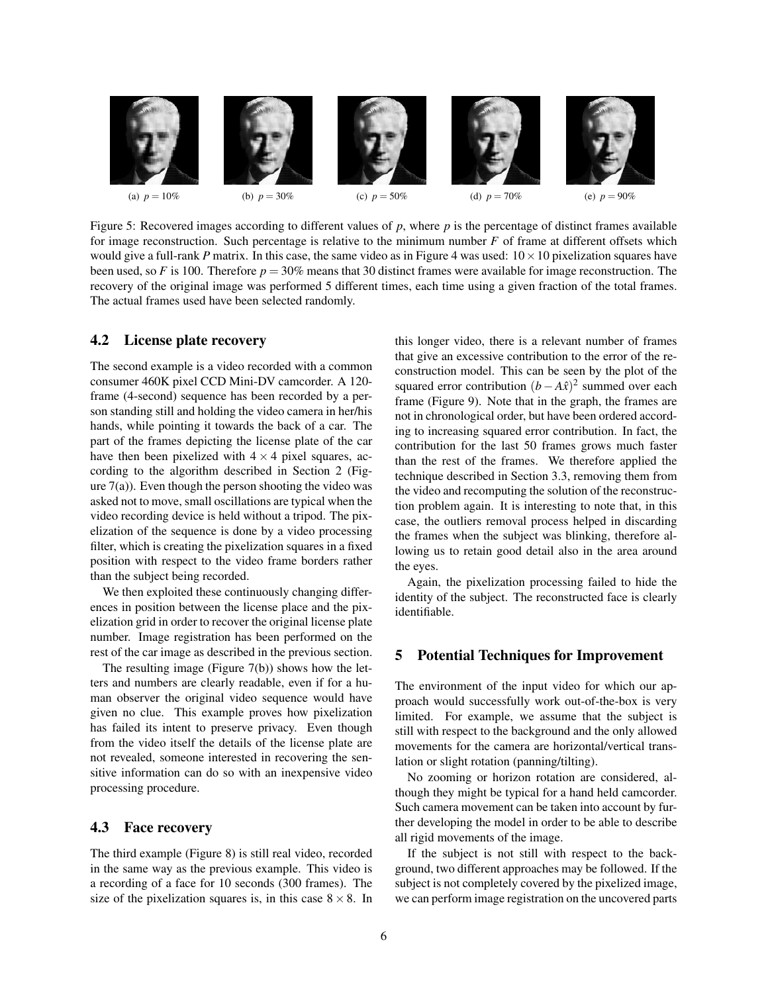

<span id="page-5-2"></span>Figure 5: Recovered images according to different values of *p*, where *p* is the percentage of distinct frames available for image reconstruction. Such percentage is relative to the minimum number *F* of frame at different offsets which would give a full-rank *P* matrix. In this case, the same video as in Figure [4](#page-6-6) was used:  $10 \times 10$  pixelization squares have been used, so *F* is 100. Therefore  $p = 30\%$  means that 30 distinct frames were available for image reconstruction. The recovery of the original image was performed 5 different times, each time using a given fraction of the total frames. The actual frames used have been selected randomly.

#### 4.2 License plate recovery

The second example is a video recorded with a common consumer 460K pixel CCD Mini-DV camcorder. A 120 frame (4-second) sequence has been recorded by a person standing still and holding the video camera in her/his hands, while pointing it towards the back of a car. The part of the frames depicting the license plate of the car have then been pixelized with  $4 \times 4$  pixel squares, according to the algorithm described in Section [2](#page-1-1) (Figure  $7(a)$ ). Even though the person shooting the video was asked not to move, small oscillations are typical when the video recording device is held without a tripod. The pixelization of the sequence is done by a video processing filter, which is creating the pixelization squares in a fixed position with respect to the video frame borders rather than the subject being recorded.

We then exploited these continuously changing differences in position between the license place and the pixelization grid in order to recover the original license plate number. Image registration has been performed on the rest of the car image as described in the previous section.

The resulting image (Figure [7\(b\)\)](#page-6-8) shows how the letters and numbers are clearly readable, even if for a human observer the original video sequence would have given no clue. This example proves how pixelization has failed its intent to preserve privacy. Even though from the video itself the details of the license plate are not revealed, someone interested in recovering the sensitive information can do so with an inexpensive video processing procedure.

### <span id="page-5-1"></span>4.3 Face recovery

The third example (Figure [8\)](#page-7-1) is still real video, recorded in the same way as the previous example. This video is a recording of a face for 10 seconds (300 frames). The size of the pixelization squares is, in this case  $8 \times 8$ . In this longer video, there is a relevant number of frames that give an excessive contribution to the error of the reconstruction model. This can be seen by the plot of the squared error contribution  $(b - A\hat{x})^2$  summed over each frame (Figure [9\)](#page-7-2). Note that in the graph, the frames are not in chronological order, but have been ordered according to increasing squared error contribution. In fact, the contribution for the last 50 frames grows much faster than the rest of the frames. We therefore applied the technique described in Section [3.3,](#page-4-1) removing them from the video and recomputing the solution of the reconstruction problem again. It is interesting to note that, in this case, the outliers removal process helped in discarding the frames when the subject was blinking, therefore allowing us to retain good detail also in the area around the eyes.

Again, the pixelization processing failed to hide the identity of the subject. The reconstructed face is clearly identifiable.

#### <span id="page-5-0"></span>5 Potential Techniques for Improvement

The environment of the input video for which our approach would successfully work out-of-the-box is very limited. For example, we assume that the subject is still with respect to the background and the only allowed movements for the camera are horizontal/vertical translation or slight rotation (panning/tilting).

No zooming or horizon rotation are considered, although they might be typical for a hand held camcorder. Such camera movement can be taken into account by further developing the model in order to be able to describe all rigid movements of the image.

If the subject is not still with respect to the background, two different approaches may be followed. If the subject is not completely covered by the pixelized image, we can perform image registration on the uncovered parts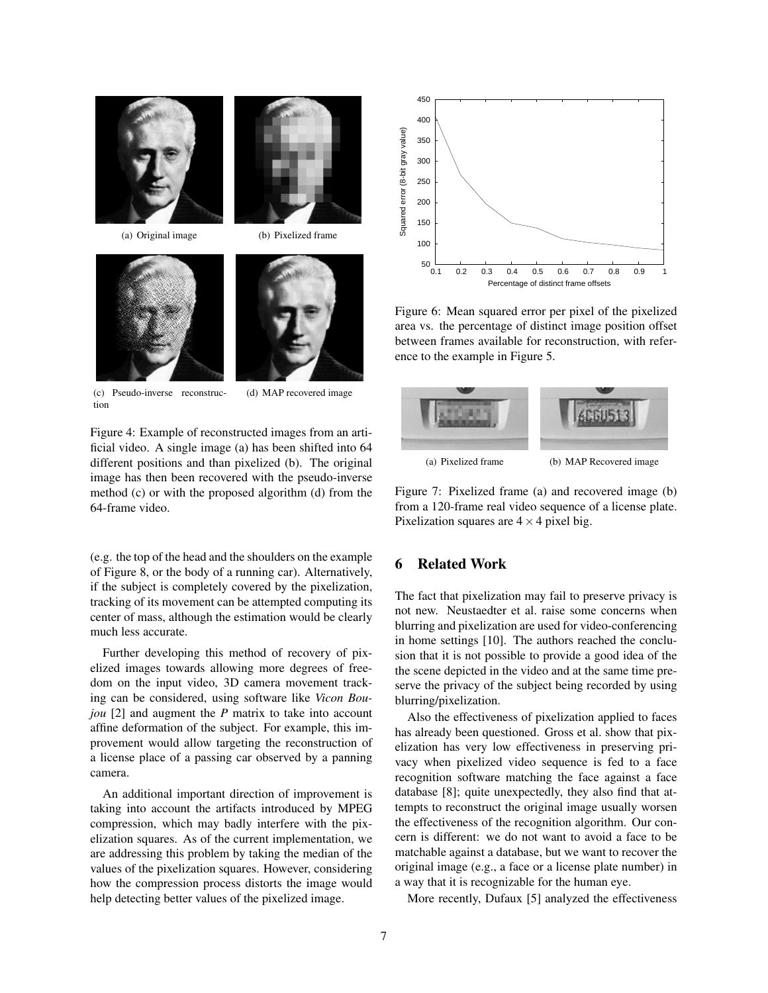

(a) Original image (b) Pixelized frame

<span id="page-6-3"></span><span id="page-6-1"></span>



(c) Pseudo-inverse reconstruction

<span id="page-6-4"></span>

<span id="page-6-6"></span><span id="page-6-2"></span>Figure 4: Example of reconstructed images from an artificial video. A single image (a) has been shifted into 64 different positions and than pixelized (b). The original image has then been recovered with the pseudo-inverse method (c) or with the proposed algorithm (d) from the 64-frame video.

(e.g. the top of the head and the shoulders on the example of Figure [8,](#page-7-1) or the body of a running car). Alternatively, if the subject is completely covered by the pixelization, tracking of its movement can be attempted computing its center of mass, although the estimation would be clearly much less accurate.

Further developing this method of recovery of pixelized images towards allowing more degrees of freedom on the input video, 3D camera movement tracking can be considered, using software like *Vicon Boujou* [\[2\]](#page-8-9) and augment the *P* matrix to take into account affine deformation of the subject. For example, this improvement would allow targeting the reconstruction of a license place of a passing car observed by a panning camera.

An additional important direction of improvement is taking into account the artifacts introduced by MPEG compression, which may badly interfere with the pixelization squares. As of the current implementation, we are addressing this problem by taking the median of the values of the pixelization squares. However, considering how the compression process distorts the image would help detecting better values of the pixelized image.



<span id="page-6-5"></span>Figure 6: Mean squared error per pixel of the pixelized area vs. the percentage of distinct image position offset between frames available for reconstruction, with reference to the example in Figure [5.](#page-5-2)

<span id="page-6-8"></span><span id="page-6-7"></span>

Figure 7: Pixelized frame (a) and recovered image (b) from a 120-frame real video sequence of a license plate. Pixelization squares are  $4 \times 4$  pixel big.

# <span id="page-6-0"></span>6 Related Work

The fact that pixelization may fail to preserve privacy is not new. Neustaedter et al. raise some concerns when blurring and pixelization are used for video-conferencing in home settings [\[10\]](#page-8-10). The authors reached the conclusion that it is not possible to provide a good idea of the the scene depicted in the video and at the same time preserve the privacy of the subject being recorded by using blurring/pixelization.

Also the effectiveness of pixelization applied to faces has already been questioned. Gross et al. show that pixelization has very low effectiveness in preserving privacy when pixelized video sequence is fed to a face recognition software matching the face against a face database [\[8\]](#page-8-11); quite unexpectedly, they also find that attempts to reconstruct the original image usually worsen the effectiveness of the recognition algorithm. Our concern is different: we do not want to avoid a face to be matchable against a database, but we want to recover the original image (e.g., a face or a license plate number) in a way that it is recognizable for the human eye.

More recently, Dufaux [\[5\]](#page-8-2) analyzed the effectiveness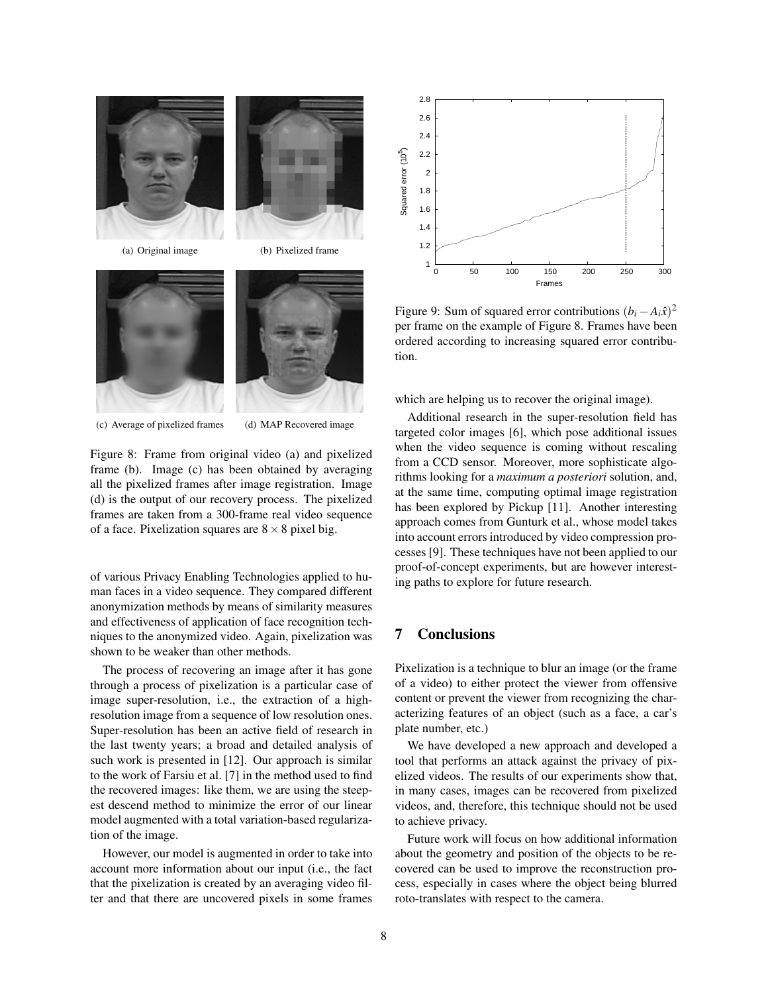

<span id="page-7-1"></span>Figure 8: Frame from original video (a) and pixelized frame (b). Image (c) has been obtained by averaging all the pixelized frames after image registration. Image (d) is the output of our recovery process. The pixelized frames are taken from a 300-frame real video sequence of a face. Pixelization squares are  $8 \times 8$  pixel big.

of various Privacy Enabling Technologies applied to human faces in a video sequence. They compared different anonymization methods by means of similarity measures and effectiveness of application of face recognition techniques to the anonymized video. Again, pixelization was shown to be weaker than other methods.

The process of recovering an image after it has gone through a process of pixelization is a particular case of image super-resolution, i.e., the extraction of a highresolution image from a sequence of low resolution ones. Super-resolution has been an active field of research in the last twenty years; a broad and detailed analysis of such work is presented in [\[12\]](#page-8-12). Our approach is similar to the work of Farsiu et al. [\[7\]](#page-8-3) in the method used to find the recovered images: like them, we are using the steepest descend method to minimize the error of our linear model augmented with a total variation-based regularization of the image.

However, our model is augmented in order to take into account more information about our input (i.e., the fact that the pixelization is created by an averaging video filter and that there are uncovered pixels in some frames



<span id="page-7-2"></span>Figure 9: Sum of squared error contributions  $(b_i - A_i \hat{x})^2$ per frame on the example of Figure [8.](#page-7-1) Frames have been ordered according to increasing squared error contribution.

which are helping us to recover the original image).

Additional research in the super-resolution field has targeted color images [\[6\]](#page-8-13), which pose additional issues when the video sequence is coming without rescaling from a CCD sensor. Moreover, more sophisticate algorithms looking for a *maximum a posteriori* solution, and, at the same time, computing optimal image registration has been explored by Pickup [\[11\]](#page-8-14). Another interesting approach comes from Gunturk et al., whose model takes into account errors introduced by video compression processes [\[9\]](#page-8-4). These techniques have not been applied to our proof-of-concept experiments, but are however interesting paths to explore for future research.

# <span id="page-7-0"></span>7 Conclusions

Pixelization is a technique to blur an image (or the frame of a video) to either protect the viewer from offensive content or prevent the viewer from recognizing the characterizing features of an object (such as a face, a car's plate number, etc.)

We have developed a new approach and developed a tool that performs an attack against the privacy of pixelized videos. The results of our experiments show that, in many cases, images can be recovered from pixelized videos, and, therefore, this technique should not be used to achieve privacy.

Future work will focus on how additional information about the geometry and position of the objects to be recovered can be used to improve the reconstruction process, especially in cases where the object being blurred roto-translates with respect to the camera.